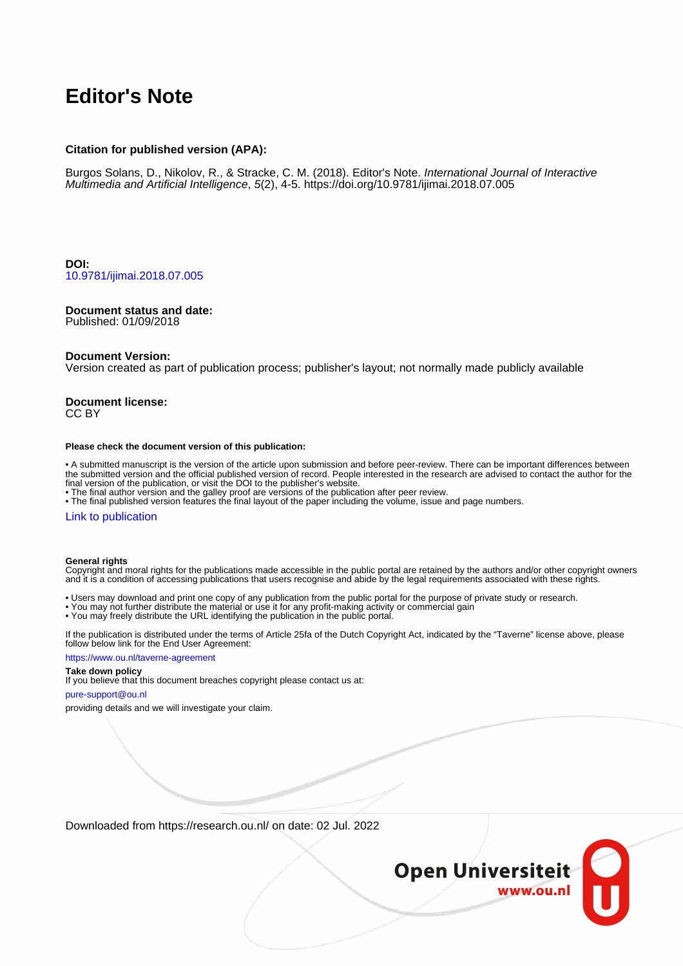# **Editor's Note**

## **Citation for published version (APA):**

Burgos Solans, D., Nikolov, R., & Stracke, C. M. (2018). Editor's Note. International Journal of Interactive Multimedia and Artificial Intelligence, 5(2), 4-5. <https://doi.org/10.9781/ijimai.2018.07.005>

**DOI:** [10.9781/ijimai.2018.07.005](https://doi.org/10.9781/ijimai.2018.07.005)

### **Document status and date:**

Published: 01/09/2018

#### **Document Version:**

Version created as part of publication process; publisher's layout; not normally made publicly available

#### **Document license:** CC BY

#### **Please check the document version of this publication:**

• A submitted manuscript is the version of the article upon submission and before peer-review. There can be important differences between the submitted version and the official published version of record. People interested in the research are advised to contact the author for the final version of the publication, or visit the DOI to the publisher's website.

• The final author version and the galley proof are versions of the publication after peer review.

• The final published version features the final layout of the paper including the volume, issue and page numbers.

# [Link to publication](https://research.ou.nl/en/publications/dd739196-adcb-40b4-aca8-8214baecd983)

#### **General rights**

Copyright and moral rights for the publications made accessible in the public portal are retained by the authors and/or other copyright owners and it is a condition of accessing publications that users recognise and abide by the legal requirements associated with these rights.

- Users may download and print one copy of any publication from the public portal for the purpose of private study or research.
- You may not further distribute the material or use it for any profit-making activity or commercial gain
- You may freely distribute the URL identifying the publication in the public portal.

If the publication is distributed under the terms of Article 25fa of the Dutch Copyright Act, indicated by the "Taverne" license above, please follow below link for the End User Agreement:

#### https://www.ou.nl/taverne-agreement

# **Take down policy**

If you believe that this document breaches copyright please contact us at:

#### pure-support@ou.nl

providing details and we will investigate your claim.

Downloaded from https://research.ou.nl/ on date: 02 Jul. 2022

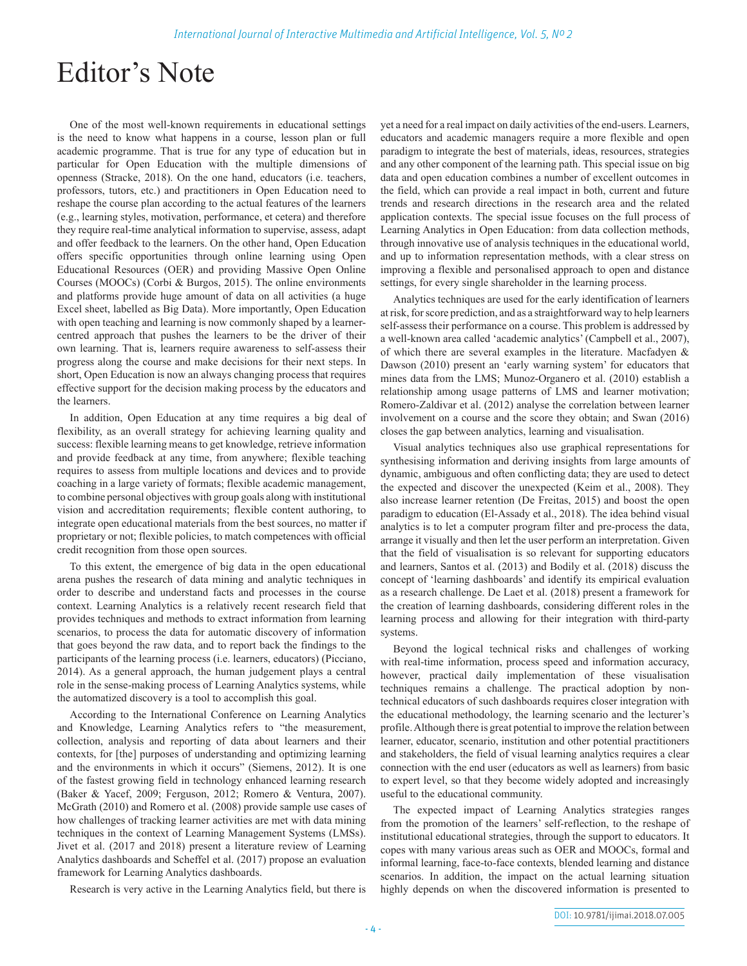# Editor's Note

One of the most well-known requirements in educational settings is the need to know what happens in a course, lesson plan or full academic programme. That is true for any type of education but in particular for Open Education with the multiple dimensions of openness (Stracke, 2018). On the one hand, educators (i.e. teachers, professors, tutors, etc.) and practitioners in Open Education need to reshape the course plan according to the actual features of the learners (e.g., learning styles, motivation, performance, et cetera) and therefore they require real-time analytical information to supervise, assess, adapt and offer feedback to the learners. On the other hand, Open Education offers specific opportunities through online learning using Open Educational Resources (OER) and providing Massive Open Online Courses (MOOCs) (Corbi & Burgos, 2015). The online environments and platforms provide huge amount of data on all activities (a huge Excel sheet, labelled as Big Data). More importantly, Open Education with open teaching and learning is now commonly shaped by a learnercentred approach that pushes the learners to be the driver of their own learning. That is, learners require awareness to self-assess their progress along the course and make decisions for their next steps. In short, Open Education is now an always changing process that requires effective support for the decision making process by the educators and the learners.

In addition, Open Education at any time requires a big deal of flexibility, as an overall strategy for achieving learning quality and success: flexible learning means to get knowledge, retrieve information and provide feedback at any time, from anywhere; flexible teaching requires to assess from multiple locations and devices and to provide coaching in a large variety of formats; flexible academic management, to combine personal objectives with group goals along with institutional vision and accreditation requirements; flexible content authoring, to integrate open educational materials from the best sources, no matter if proprietary or not; flexible policies, to match competences with official credit recognition from those open sources.

To this extent, the emergence of big data in the open educational arena pushes the research of data mining and analytic techniques in order to describe and understand facts and processes in the course context. Learning Analytics is a relatively recent research field that provides techniques and methods to extract information from learning scenarios, to process the data for automatic discovery of information that goes beyond the raw data, and to report back the findings to the participants of the learning process (i.e. learners, educators) (Picciano, 2014). As a general approach, the human judgement plays a central role in the sense-making process of Learning Analytics systems, while the automatized discovery is a tool to accomplish this goal.

According to the International Conference on Learning Analytics and Knowledge, Learning Analytics refers to "the measurement, collection, analysis and reporting of data about learners and their contexts, for [the] purposes of understanding and optimizing learning and the environments in which it occurs" (Siemens, 2012). It is one of the fastest growing field in technology enhanced learning research (Baker & Yacef, 2009; Ferguson, 2012; Romero & Ventura, 2007). McGrath (2010) and Romero et al. (2008) provide sample use cases of how challenges of tracking learner activities are met with data mining techniques in the context of Learning Management Systems (LMSs). Jivet et al. (2017 and 2018) present a literature review of Learning Analytics dashboards and Scheffel et al. (2017) propose an evaluation framework for Learning Analytics dashboards.

Research is very active in the Learning Analytics field, but there is

yet a need for a real impact on daily activities of the end-users. Learners, educators and academic managers require a more flexible and open paradigm to integrate the best of materials, ideas, resources, strategies and any other component of the learning path. This special issue on big data and open education combines a number of excellent outcomes in the field, which can provide a real impact in both, current and future trends and research directions in the research area and the related application contexts. The special issue focuses on the full process of Learning Analytics in Open Education: from data collection methods, through innovative use of analysis techniques in the educational world, and up to information representation methods, with a clear stress on improving a flexible and personalised approach to open and distance settings, for every single shareholder in the learning process.

Analytics techniques are used for the early identification of learners at risk, for score prediction, and as a straightforward way to help learners self-assess their performance on a course. This problem is addressed by a well-known area called 'academic analytics' (Campbell et al., 2007), of which there are several examples in the literature. Macfadyen & Dawson (2010) present an 'early warning system' for educators that mines data from the LMS; Munoz-Organero et al. (2010) establish a relationship among usage patterns of LMS and learner motivation; Romero-Zaldivar et al. (2012) analyse the correlation between learner involvement on a course and the score they obtain; and Swan (2016) closes the gap between analytics, learning and visualisation.

Visual analytics techniques also use graphical representations for synthesising information and deriving insights from large amounts of dynamic, ambiguous and often conflicting data; they are used to detect the expected and discover the unexpected (Keim et al., 2008). They also increase learner retention (De Freitas, 2015) and boost the open paradigm to education (El-Assady et al., 2018). The idea behind visual analytics is to let a computer program filter and pre-process the data, arrange it visually and then let the user perform an interpretation. Given that the field of visualisation is so relevant for supporting educators and learners, Santos et al. (2013) and Bodily et al. (2018) discuss the concept of 'learning dashboards' and identify its empirical evaluation as a research challenge. De Laet et al. (2018) present a framework for the creation of learning dashboards, considering different roles in the learning process and allowing for their integration with third-party systems.

Beyond the logical technical risks and challenges of working with real-time information, process speed and information accuracy, however, practical daily implementation of these visualisation techniques remains a challenge. The practical adoption by nontechnical educators of such dashboards requires closer integration with the educational methodology, the learning scenario and the lecturer's profile. Although there is great potential to improve the relation between learner, educator, scenario, institution and other potential practitioners and stakeholders, the field of visual learning analytics requires a clear connection with the end user (educators as well as learners) from basic to expert level, so that they become widely adopted and increasingly useful to the educational community.

The expected impact of Learning Analytics strategies ranges from the promotion of the learners' self-reflection, to the reshape of institutional educational strategies, through the support to educators. It copes with many various areas such as OER and MOOCs, formal and informal learning, face-to-face contexts, blended learning and distance scenarios. In addition, the impact on the actual learning situation highly depends on when the discovered information is presented to